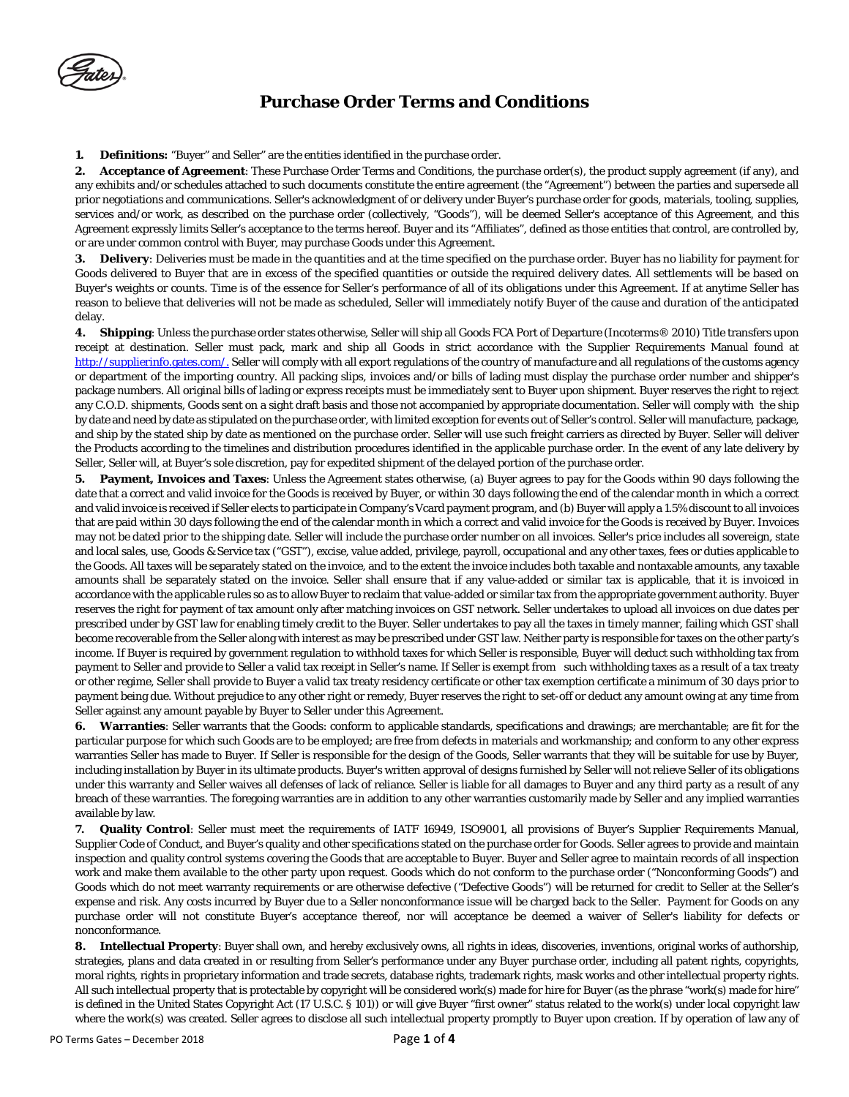**1. Definitions:** "Buyer" and Seller" are the entities identified in the purchase order.

**2. Acceptance of Agreement**: These Purchase Order Terms and Conditions, the purchase order(s), the product supply agreement (if any), and any exhibits and/or schedules attached to such documents constitute the entire agreement (the "Agreement") between the parties and supersede all prior negotiations and communications. Seller's acknowledgment of or delivery under Buyer's purchase order for goods, materials, tooling, supplies, services and/or work, as described on the purchase order (collectively, "Goods"), will be deemed Seller's acceptance of this Agreement, and this Agreement expressly limits Seller's acceptance to the terms hereof. Buyer and its "Affiliates", defined as those entities that control, are controlled by, or are under common control with Buyer, may purchase Goods under this Agreement.

**3. Delivery**: Deliveries must be made in the quantities and at the time specified on the purchase order. Buyer has no liability for payment for Goods delivered to Buyer that are in excess of the specified quantities or outside the required delivery dates. All settlements will be based on Buyer's weights or counts. Time is of the essence for Seller's performance of all of its obligations under this Agreement. If at anytime Seller has reason to believe that deliveries will not be made as scheduled, Seller will immediately notify Buyer of the cause and duration of the anticipated delay.

**4. Shipping**: Unless the purchase order states otherwise, Seller will ship all Goods FCA Port of Departure (Incoterms® 2010) Title transfers upon receipt at destination. Seller must pack, mark and ship all Goods in strict accordance with the Supplier Requirements Manual found at [http://supplierinfo.gates.com/.](http://supplierinfo.gates.com/) Seller will comply with all export regulations of the country of manufacture and all regulations of the customs agency or department of the importing country. All packing slips, invoices and/or bills of lading must display the purchase order number and shipper's package numbers. All original bills of lading or express receipts must be immediately sent to Buyer upon shipment. Buyer reserves the right to reject any C.O.D. shipments, Goods sent on a sight draft basis and those not accompanied by appropriate documentation. Seller will comply with the ship by date and need by date as stipulated on the purchase order, with limited exception for events out of Seller's control. Seller will manufacture, package, and ship by the stated ship by date as mentioned on the purchase order. Seller will use such freight carriers as directed by Buyer. Seller will deliver the Products according to the timelines and distribution procedures identified in the applicable purchase order. In the event of any late delivery by Seller, Seller will, at Buyer's sole discretion, pay for expedited shipment of the delayed portion of the purchase order.

**5. Payment, Invoices and Taxes**: Unless the Agreement states otherwise, (a) Buyer agrees to pay for the Goods within 90 days following the date that a correct and valid invoice for the Goods is received by Buyer, or within 30 days following the end of the calendar month in which a correct and valid invoice is received if Seller elects to participate in Company's Vcard payment program, and (b) Buyer will apply a 1.5% discount to all invoices that are paid within 30 days following the end of the calendar month in which a correct and valid invoice for the Goods is received by Buyer. Invoices may not be dated prior to the shipping date. Seller will include the purchase order number on all invoices. Seller's price includes all sovereign, state and local sales, use, Goods & Service tax ("GST"), excise, value added, privilege, payroll, occupational and any other taxes, fees or duties applicable to the Goods. All taxes will be separately stated on the invoice, and to the extent the invoice includes both taxable and nontaxable amounts, any taxable amounts shall be separately stated on the invoice. Seller shall ensure that if any value-added or similar tax is applicable, that it is invoiced in accordance with the applicable rules so as to allow Buyer to reclaim that value-added or similar tax from the appropriate government authority. Buyer reserves the right for payment of tax amount only after matching invoices on GST network. Seller undertakes to upload all invoices on due dates per prescribed under by GST law for enabling timely credit to the Buyer. Seller undertakes to pay all the taxes in timely manner, failing which GST shall become recoverable from the Seller along with interest as may be prescribed under GST law. Neither party is responsible for taxes on the other party's income. If Buyer is required by government regulation to withhold taxes for which Seller is responsible, Buyer will deduct such withholding tax from payment to Seller and provide to Seller a valid tax receipt in Seller's name. If Seller is exempt from such withholding taxes as a result of a tax treaty or other regime, Seller shall provide to Buyer a valid tax treaty residency certificate or other tax exemption certificate a minimum of 30 days prior to payment being due. Without prejudice to any other right or remedy, Buyer reserves the right to set-off or deduct any amount owing at any time from Seller against any amount payable by Buyer to Seller under this Agreement.

**6. Warranties**: Seller warrants that the Goods: conform to applicable standards, specifications and drawings; are merchantable; are fit for the particular purpose for which such Goods are to be employed; are free from defects in materials and workmanship; and conform to any other express warranties Seller has made to Buyer. If Seller is responsible for the design of the Goods, Seller warrants that they will be suitable for use by Buyer, including installation by Buyer in its ultimate products. Buyer's written approval of designs furnished by Seller will not relieve Seller of its obligations under this warranty and Seller waives all defenses of lack of reliance. Seller is liable for all damages to Buyer and any third party as a result of any breach of these warranties. The foregoing warranties are in addition to any other warranties customarily made by Seller and any implied warranties available by law.

**7. Quality Control**: Seller must meet the requirements of IATF 16949, ISO9001, all provisions of Buyer's Supplier Requirements Manual, Supplier Code of Conduct, and Buyer's quality and other specifications stated on the purchase order for Goods. Seller agrees to provide and maintain inspection and quality control systems covering the Goods that are acceptable to Buyer. Buyer and Seller agree to maintain records of all inspection work and make them available to the other party upon request. Goods which do not conform to the purchase order ("Nonconforming Goods") and Goods which do not meet warranty requirements or are otherwise defective ("Defective Goods") will be returned for credit to Seller at the Seller's expense and risk. Any costs incurred by Buyer due to a Seller nonconformance issue will be charged back to the Seller. Payment for Goods on any purchase order will not constitute Buyer's acceptance thereof, nor will acceptance be deemed a waiver of Seller's liability for defects or nonconformance.

**8. Intellectual Property**: Buyer shall own, and hereby exclusively owns, all rights in ideas, discoveries, inventions, original works of authorship, strategies, plans and data created in or resulting from Seller's performance under any Buyer purchase order, including all patent rights, copyrights, moral rights, rights in proprietary information and trade secrets, database rights, trademark rights, mask works and other intellectual property rights. All such intellectual property that is protectable by copyright will be considered work(s) made for hire for Buyer (as the phrase "work(s) made for hire" is defined in the United States Copyright Act (17 U.S.C. § 101)) or will give Buyer "first owner" status related to the work(s) under local copyright law where the work(s) was created. Seller agrees to disclose all such intellectual property promptly to Buyer upon creation. If by operation of law any of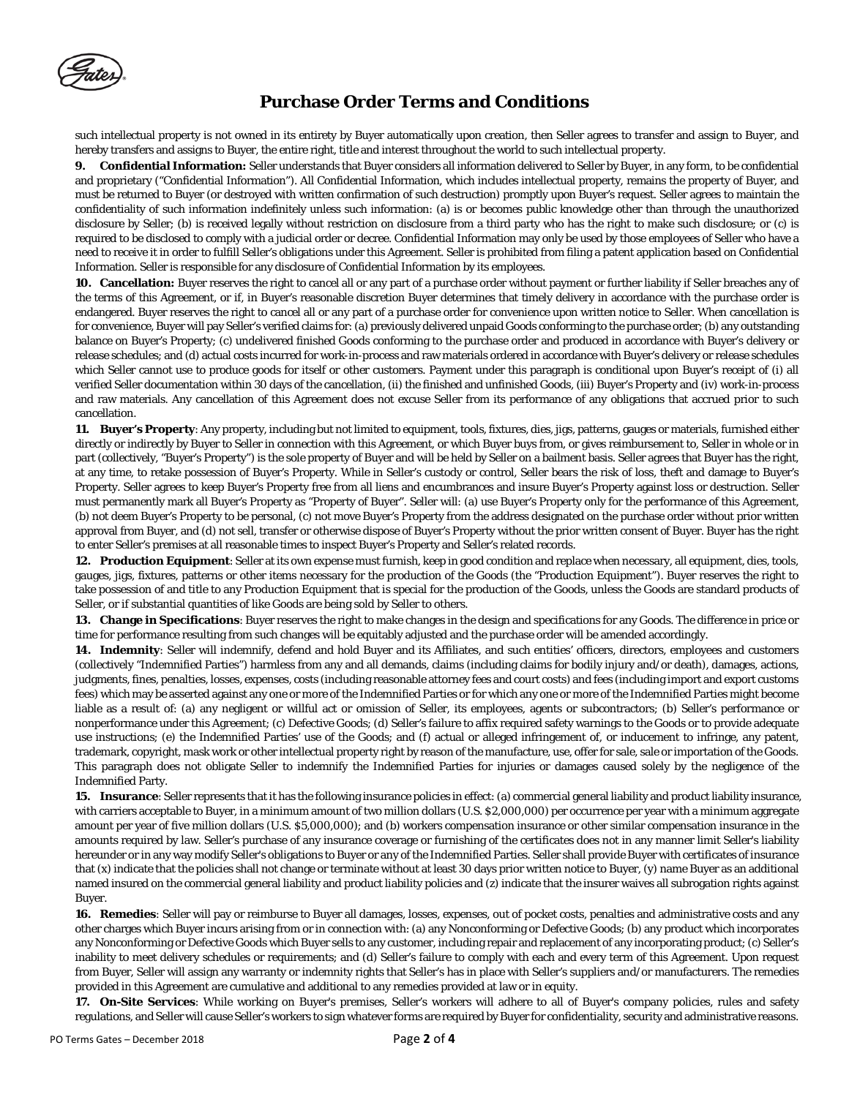

such intellectual property is not owned in its entirety by Buyer automatically upon creation, then Seller agrees to transfer and assign to Buyer, and hereby transfers and assigns to Buyer, the entire right, title and interest throughout the world to such intellectual property.

**9. Confidential Information:** Seller understands that Buyer considers all information delivered to Seller by Buyer, in any form, to be confidential and proprietary ("Confidential Information"). All Confidential Information, which includes intellectual property, remains the property of Buyer, and must be returned to Buyer (or destroyed with written confirmation of such destruction) promptly upon Buyer's request. Seller agrees to maintain the confidentiality of such information indefinitely unless such information: (a) is or becomes public knowledge other than through the unauthorized disclosure by Seller; (b) is received legally without restriction on disclosure from a third party who has the right to make such disclosure; or (c) is required to be disclosed to comply with a judicial order or decree. Confidential Information may only be used by those employees of Seller who have a need to receive it in order to fulfill Seller's obligations under this Agreement. Seller is prohibited from filing a patent application based on Confidential Information. Seller is responsible for any disclosure of Confidential Information by its employees.

**10. Cancellation:** Buyer reserves the right to cancel all or any part of a purchase order without payment or further liability if Seller breaches any of the terms of this Agreement, or if, in Buyer's reasonable discretion Buyer determines that timely delivery in accordance with the purchase order is endangered. Buyer reserves the right to cancel all or any part of a purchase order for convenience upon written notice to Seller. When cancellation is for convenience, Buyer will pay Seller's verified claims for: (a) previously delivered unpaid Goods conforming to the purchase order; (b) any outstanding balance on Buyer's Property; (c) undelivered finished Goods conforming to the purchase order and produced in accordance with Buyer's delivery or release schedules; and (d) actual costs incurred for work-in-process and raw materials ordered in accordance with Buyer's delivery or release schedules which Seller cannot use to produce goods for itself or other customers. Payment under this paragraph is conditional upon Buyer's receipt of (i) all verified Seller documentation within 30 days of the cancellation, (ii) the finished and unfinished Goods, (iii) Buyer's Property and (iv) work-in-process and raw materials. Any cancellation of this Agreement does not excuse Seller from its performance of any obligations that accrued prior to such cancellation.

**11. Buyer's Property**: Any property, including but not limited to equipment, tools, fixtures, dies, jigs, patterns, gauges or materials, furnished either directly or indirectly by Buyer to Seller in connection with this Agreement, or which Buyer buys from, or gives reimbursement to, Seller in whole or in part (collectively, "Buyer's Property") is the sole property of Buyer and will be held by Seller on a bailment basis. Seller agrees that Buyer has the right, at any time, to retake possession of Buyer's Property. While in Seller's custody or control, Seller bears the risk of loss, theft and damage to Buyer's Property. Seller agrees to keep Buyer's Property free from all liens and encumbrances and insure Buyer's Property against loss or destruction. Seller must permanently mark all Buyer's Property as "Property of Buyer". Seller will: (a) use Buyer's Property only for the performance of this Agreement, (b) not deem Buyer's Property to be personal, (c) not move Buyer's Property from the address designated on the purchase order without prior written approval from Buyer, and (d) not sell, transfer or otherwise dispose of Buyer's Property without the prior written consent of Buyer. Buyer has the right to enter Seller's premises at all reasonable times to inspect Buyer's Property and Seller's related records.

**12. Production Equipment**: Seller at its own expense must furnish, keep in good condition and replace when necessary, all equipment, dies, tools, gauges, jigs, fixtures, patterns or other items necessary for the production of the Goods (the "Production Equipment"). Buyer reserves the right to take possession of and title to any Production Equipment that is special for the production of the Goods, unless the Goods are standard products of Seller, or if substantial quantities of like Goods are being sold by Seller to others.

**13. Change in Specifications**: Buyer reserves the right to make changes in the design and specifications for any Goods. The difference in price or time for performance resulting from such changes will be equitably adjusted and the purchase order will be amended accordingly.

**14. Indemnity**: Seller will indemnify, defend and hold Buyer and its Affiliates, and such entities' officers, directors, employees and customers (collectively "Indemnified Parties") harmless from any and all demands, claims (including claims for bodily injury and/or death), damages, actions, judgments, fines, penalties, losses, expenses, costs (including reasonable attorney fees and court costs) and fees (including import and export customs fees) which may be asserted against any one or more of the Indemnified Parties or for which any one or more of the Indemnified Parties might become liable as a result of: (a) any negligent or willful act or omission of Seller, its employees, agents or subcontractors; (b) Seller's performance or nonperformance under this Agreement; (c) Defective Goods; (d) Seller's failure to affix required safety warnings to the Goods or to provide adequate use instructions; (e) the Indemnified Parties' use of the Goods; and (f) actual or alleged infringement of, or inducement to infringe, any patent, trademark, copyright, mask work or other intellectual property right by reason of the manufacture, use, offer for sale, sale or importation of the Goods. This paragraph does not obligate Seller to indemnify the Indemnified Parties for injuries or damages caused solely by the negligence of the Indemnified Party.

**15. Insurance**: Seller represents that it has the following insurance policies in effect: (a) commercial general liability and product liability insurance, with carriers acceptable to Buyer, in a minimum amount of two million dollars (U.S. \$2,000,000) per occurrence per year with a minimum aggregate amount per year of five million dollars (U.S. \$5,000,000); and (b) workers compensation insurance or other similar compensation insurance in the amounts required by law. Seller's purchase of any insurance coverage or furnishing of the certificates does not in any manner limit Seller's liability hereunder or in any way modify Seller's obligations to Buyer or any of the Indemnified Parties. Seller shall provide Buyer with certificates of insurance that (x) indicate that the policies shall not change or terminate without at least 30 days prior written notice to Buyer, (y) name Buyer as an additional named insured on the commercial general liability and product liability policies and (z) indicate that the insurer waives all subrogation rights against Buyer.

**16. Remedies**: Seller will pay or reimburse to Buyer all damages, losses, expenses, out of pocket costs, penalties and administrative costs and any other charges which Buyer incurs arising from or in connection with: (a) any Nonconforming or Defective Goods; (b) any product which incorporates any Nonconforming or Defective Goods which Buyer sells to any customer, including repair and replacement of any incorporating product; (c) Seller's inability to meet delivery schedules or requirements; and (d) Seller's failure to comply with each and every term of this Agreement. Upon request from Buyer, Seller will assign any warranty or indemnity rights that Seller's has in place with Seller's suppliers and/or manufacturers. The remedies provided in this Agreement are cumulative and additional to any remedies provided at law or in equity.

**17. On-Site Services**: While working on Buyer's premises, Seller's workers will adhere to all of Buyer's company policies, rules and safety regulations, and Seller will cause Seller's workers to sign whatever forms are required by Buyer for confidentiality, security and administrative reasons.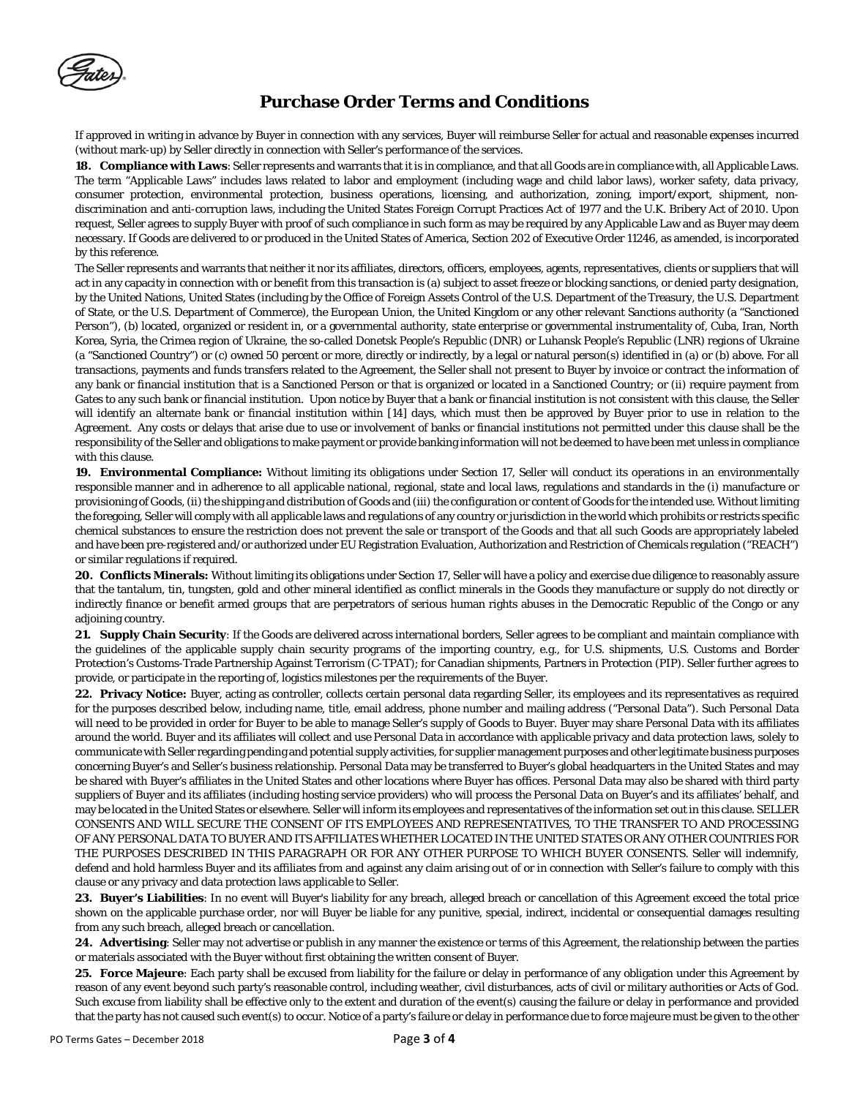If approved in writing in advance by Buyer in connection with any services, Buyer will reimburse Seller for actual and reasonable expenses incurred (without mark-up) by Seller directly in connection with Seller's performance of the services.

**18. Compliance with Laws**: Seller represents and warrants that it is in compliance, and that all Goods are in compliance with, all Applicable Laws. The term "Applicable Laws" includes laws related to labor and employment (including wage and child labor laws), worker safety, data privacy, consumer protection, environmental protection, business operations, licensing, and authorization, zoning, import/export, shipment, nondiscrimination and anti-corruption laws, including the United States Foreign Corrupt Practices Act of 1977 and the U.K. Bribery Act of 2010. Upon request, Seller agrees to supply Buyer with proof of such compliance in such form as may be required by any Applicable Law and as Buyer may deem necessary. If Goods are delivered to or produced in the United States of America, Section 202 of Executive Order 11246, as amended, is incorporated by this reference.

The Seller represents and warrants that neither it nor its affiliates, directors, officers, employees, agents, representatives, clients or suppliers that will act in any capacity in connection with or benefit from this transaction is (a) subject to asset freeze or blocking sanctions, or denied party designation, by the United Nations, United States (including by the Office of Foreign Assets Control of the U.S. Department of the Treasury, the U.S. Department of State, or the U.S. Department of Commerce), the European Union, the United Kingdom or any other relevant Sanctions authority (a "Sanctioned Person"), (b) located, organized or resident in, or a governmental authority, state enterprise or governmental instrumentality of, Cuba, Iran, North Korea, Syria, the Crimea region of Ukraine, the so-called Donetsk People's Republic (DNR) or Luhansk People's Republic (LNR) regions of Ukraine (a "Sanctioned Country") or (c) owned 50 percent or more, directly or indirectly, by a legal or natural person(s) identified in (a) or (b) above. For all transactions, payments and funds transfers related to the Agreement, the Seller shall not present to Buyer by invoice or contract the information of any bank or financial institution that is a Sanctioned Person or that is organized or located in a Sanctioned Country; or (ii) require payment from Gates to any such bank or financial institution. Upon notice by Buyer that a bank or financial institution is not consistent with this clause, the Seller will identify an alternate bank or financial institution within [14] days, which must then be approved by Buyer prior to use in relation to the Agreement. Any costs or delays that arise due to use or involvement of banks or financial institutions not permitted under this clause shall be the responsibility of the Seller and obligations to make payment or provide banking information will not be deemed to have been met unless in compliance with this clause.

**19. Environmental Compliance:** Without limiting its obligations under Section 17, Seller will conduct its operations in an environmentally responsible manner and in adherence to all applicable national, regional, state and local laws, regulations and standards in the (i) manufacture or provisioning of Goods, (ii) the shipping and distribution of Goods and (iii) the configuration or content of Goods for the intended use. Without limiting the foregoing, Seller will comply with all applicable laws and regulations of any country or jurisdiction in the world which prohibits or restricts specific chemical substances to ensure the restriction does not prevent the sale or transport of the Goods and that all such Goods are appropriately labeled and have been pre-registered and/or authorized under EU Registration Evaluation, Authorization and Restriction of Chemicals regulation ("REACH") or similar regulations if required.

**20. Conflicts Minerals:** Without limiting its obligations under Section 17, Seller will have a policy and exercise due diligence to reasonably assure that the tantalum, tin, tungsten, gold and other mineral identified as conflict minerals in the Goods they manufacture or supply do not directly or indirectly finance or benefit armed groups that are perpetrators of serious human rights abuses in the Democratic Republic of the Congo or any adjoining country.

**21. Supply Chain Security**: If the Goods are delivered across international borders, Seller agrees to be compliant and maintain compliance with the guidelines of the applicable supply chain security programs of the importing country, e.g., for U.S. shipments, U.S. Customs and Border Protection's Customs-Trade Partnership Against Terrorism (C-TPAT); for Canadian shipments, Partners in Protection (PIP). Seller further agrees to provide, or participate in the reporting of, logistics milestones per the requirements of the Buyer.

**22. Privacy Notice:** Buyer, acting as controller, collects certain personal data regarding Seller, its employees and its representatives as required for the purposes described below, including name, title, email address, phone number and mailing address ("Personal Data"). Such Personal Data will need to be provided in order for Buyer to be able to manage Seller's supply of Goods to Buyer. Buyer may share Personal Data with its affiliates around the world. Buyer and its affiliates will collect and use Personal Data in accordance with applicable privacy and data protection laws, solely to communicate with Seller regarding pending and potential supply activities, for supplier management purposes and other legitimate business purposes concerning Buyer's and Seller's business relationship. Personal Data may be transferred to Buyer's global headquarters in the United States and may be shared with Buyer's affiliates in the United States and other locations where Buyer has offices. Personal Data may also be shared with third party suppliers of Buyer and its affiliates (including hosting service providers) who will process the Personal Data on Buyer's and its affiliates' behalf, and may be located in the United States or elsewhere. Seller will inform its employees and representatives of the information set out in this clause. SELLER CONSENTS AND WILL SECURE THE CONSENT OF ITS EMPLOYEES AND REPRESENTATIVES, TO THE TRANSFER TO AND PROCESSING OF ANY PERSONAL DATA TO BUYER AND ITS AFFILIATES WHETHER LOCATED IN THE UNITED STATES OR ANY OTHER COUNTRIES FOR THE PURPOSES DESCRIBED IN THIS PARAGRAPH OR FOR ANY OTHER PURPOSE TO WHICH BUYER CONSENTS. Seller will indemnify, defend and hold harmless Buyer and its affiliates from and against any claim arising out of or in connection with Seller's failure to comply with this clause or any privacy and data protection laws applicable to Seller.

**23. Buyer's Liabilities**: In no event will Buyer's liability for any breach, alleged breach or cancellation of this Agreement exceed the total price shown on the applicable purchase order, nor will Buyer be liable for any punitive, special, indirect, incidental or consequential damages resulting from any such breach, alleged breach or cancellation.

**24. Advertising**: Seller may not advertise or publish in any manner the existence or terms of this Agreement, the relationship between the parties or materials associated with the Buyer without first obtaining the written consent of Buyer.

**25. Force Majeure**: Each party shall be excused from liability for the failure or delay in performance of any obligation under this Agreement by reason of any event beyond such party's reasonable control, including weather, civil disturbances, acts of civil or military authorities or Acts of God. Such excuse from liability shall be effective only to the extent and duration of the event(s) causing the failure or delay in performance and provided that the party has not caused such event(s) to occur. Notice of a party's failure or delay in performance due to force majeure must be given to the other